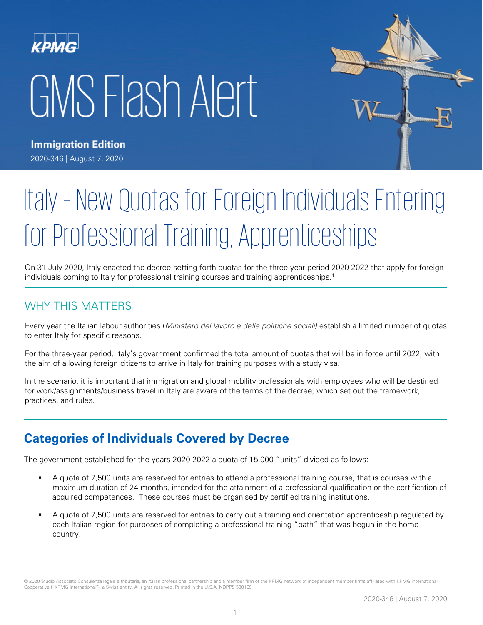# KPMG GMS Flash Alert



**Immigration Edition** 2020-346 | August 7, 2020

# Italy – New Quotas for Foreign Individuals Entering for Professional Training, Apprenticeships

On 31 July 2020, Italy enacted the decree setting forth quotas for the three-year period 2020-2022 that apply for foreign individuals coming to Italy for professional training courses and training apprenticeships.<sup>1</sup>

## WHY THIS MATTERS

Every year the Italian labour authorities (Ministero del lavoro e delle politiche sociali) establish a limited number of quotas to enter Italy for specific reasons.

For the three-year period, Italy's government confirmed the total amount of quotas that will be in force until 2022, with the aim of allowing foreign citizens to arrive in Italy for training purposes with a study visa.

In the scenario, it is important that immigration and global mobility professionals with employees who will be destined for work/assignments/business travel in Italy are aware of the terms of the decree, which set out the framework, practices, and rules.

# **Categories of Individuals Covered by Decree**

The government established for the years 2020-2022 a quota of 15,000 "units" divided as follows:

- A quota of 7,500 units are reserved for entries to attend a professional training course, that is courses with a maximum duration of 24 months, intended for the attainment of a professional qualification or the certification of acquired competences. These courses must be organised by certified training institutions.
- A quota of 7,500 units are reserved for entries to carry out a training and orientation apprenticeship regulated by each Italian region for purposes of completing a professional training "path" that was begun in the home country.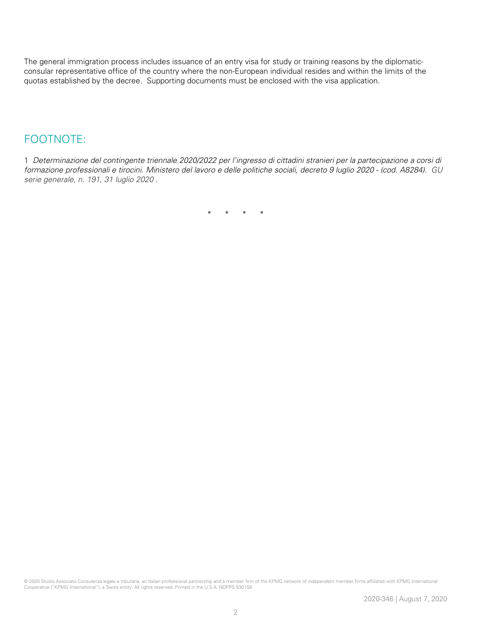The general immigration process includes issuance of an entry visa for study or training reasons by the diplomaticconsular representative office of the country where the non-European individual resides and within the limits of the quotas established by the decree. Supporting documents must be enclosed with the visa application.

### FOOTNOTE:

1 Determinazione del contingente triennale 2020/2022 per l'ingresso di cittadini stranieri per la partecipazione a corsi di formazione professionali e tirocini. Ministero del lavoro e delle politiche sociali, decreto 9 luglio 2020 - (cod. A8284). GU serie generale, n. 191, 31 luglio 2020 .

\* \* \* \*

© 2020 Studio Associato Consulenza legale e tributaria, an Italian professional partnership and a member firm of the KPMG network of independent member firms affiliated with KPMG International Cooperative ("KPMG International"), a Swiss entity. All rights reserved. Printed in the U.S.A. NDPPS 530159